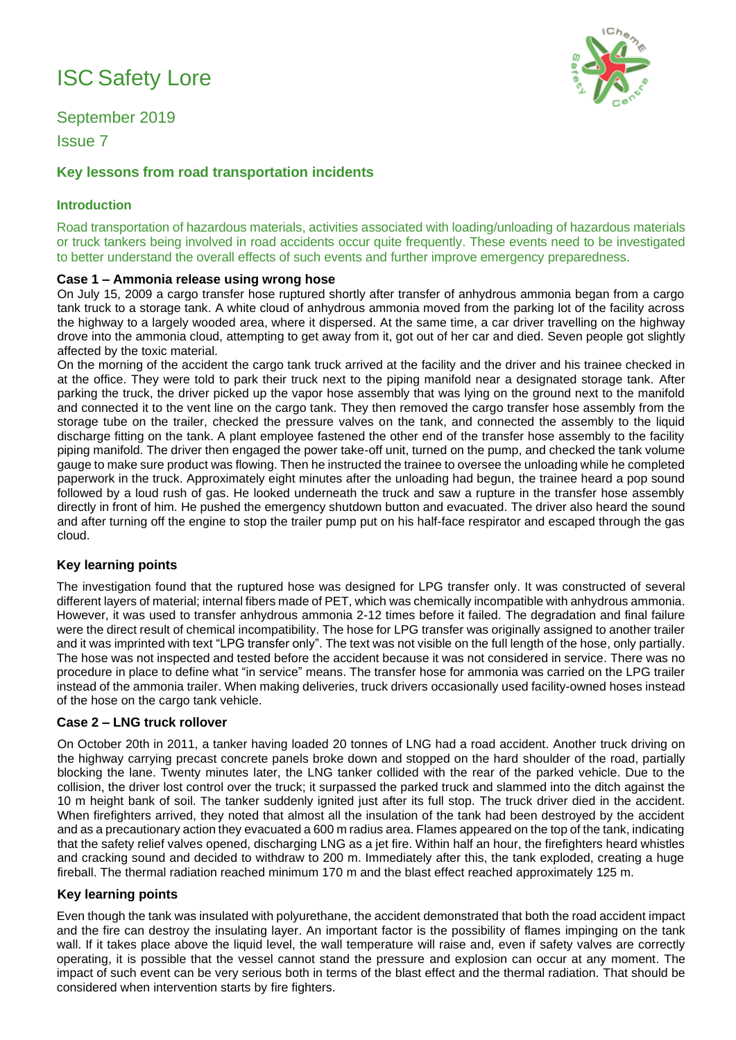# ISC Safety Lore

September 2019

Issue 7

# **Key lessons from road transportation incidents**

### **Introduction**

Road transportation of hazardous materials, activities associated with loading/unloading of hazardous materials or truck tankers being involved in road accidents occur quite frequently. These events need to be investigated to better understand the overall effects of such events and further improve emergency preparedness.

#### **Case 1 – Ammonia release using wrong hose**

On July 15, 2009 a cargo transfer hose ruptured shortly after transfer of anhydrous ammonia began from a cargo tank truck to a storage tank. A white cloud of anhydrous ammonia moved from the parking lot of the facility across the highway to a largely wooded area, where it dispersed. At the same time, a car driver travelling on the highway drove into the ammonia cloud, attempting to get away from it, got out of her car and died. Seven people got slightly affected by the toxic material.

On the morning of the accident the cargo tank truck arrived at the facility and the driver and his trainee checked in at the office. They were told to park their truck next to the piping manifold near a designated storage tank. After parking the truck, the driver picked up the vapor hose assembly that was lying on the ground next to the manifold and connected it to the vent line on the cargo tank. They then removed the cargo transfer hose assembly from the storage tube on the trailer, checked the pressure valves on the tank, and connected the assembly to the liquid discharge fitting on the tank. A plant employee fastened the other end of the transfer hose assembly to the facility piping manifold. The driver then engaged the power take-off unit, turned on the pump, and checked the tank volume gauge to make sure product was flowing. Then he instructed the trainee to oversee the unloading while he completed paperwork in the truck. Approximately eight minutes after the unloading had begun, the trainee heard a pop sound followed by a loud rush of gas. He looked underneath the truck and saw a rupture in the transfer hose assembly directly in front of him. He pushed the emergency shutdown button and evacuated. The driver also heard the sound and after turning off the engine to stop the trailer pump put on his half-face respirator and escaped through the gas cloud.

## **Key learning points**

The investigation found that the ruptured hose was designed for LPG transfer only. It was constructed of several different layers of material; internal fibers made of PET, which was chemically incompatible with anhydrous ammonia. However, it was used to transfer anhydrous ammonia 2-12 times before it failed. The degradation and final failure were the direct result of chemical incompatibility. The hose for LPG transfer was originally assigned to another trailer and it was imprinted with text "LPG transfer only". The text was not visible on the full length of the hose, only partially. The hose was not inspected and tested before the accident because it was not considered in service. There was no procedure in place to define what "in service" means. The transfer hose for ammonia was carried on the LPG trailer instead of the ammonia trailer. When making deliveries, truck drivers occasionally used facility-owned hoses instead of the hose on the cargo tank vehicle.

#### **Case 2 – LNG truck rollover**

On October 20th in 2011, a tanker having loaded 20 tonnes of LNG had a road accident. Another truck driving on the highway carrying precast concrete panels broke down and stopped on the hard shoulder of the road, partially blocking the lane. Twenty minutes later, the LNG tanker collided with the rear of the parked vehicle. Due to the collision, the driver lost control over the truck; it surpassed the parked truck and slammed into the ditch against the 10 m height bank of soil. The tanker suddenly ignited just after its full stop. The truck driver died in the accident. When firefighters arrived, they noted that almost all the insulation of the tank had been destroyed by the accident and as a precautionary action they evacuated a 600 m radius area. Flames appeared on the top of the tank, indicating that the safety relief valves opened, discharging LNG as a jet fire. Within half an hour, the firefighters heard whistles and cracking sound and decided to withdraw to 200 m. Immediately after this, the tank exploded, creating a huge fireball. The thermal radiation reached minimum 170 m and the blast effect reached approximately 125 m.

#### **Key learning points**

Even though the tank was insulated with polyurethane, the accident demonstrated that both the road accident impact and the fire can destroy the insulating layer. An important factor is the possibility of flames impinging on the tank wall. If it takes place above the liquid level, the wall temperature will raise and, even if safety valves are correctly operating, it is possible that the vessel cannot stand the pressure and explosion can occur at any moment. The impact of such event can be very serious both in terms of the blast effect and the thermal radiation. That should be considered when intervention starts by fire fighters.